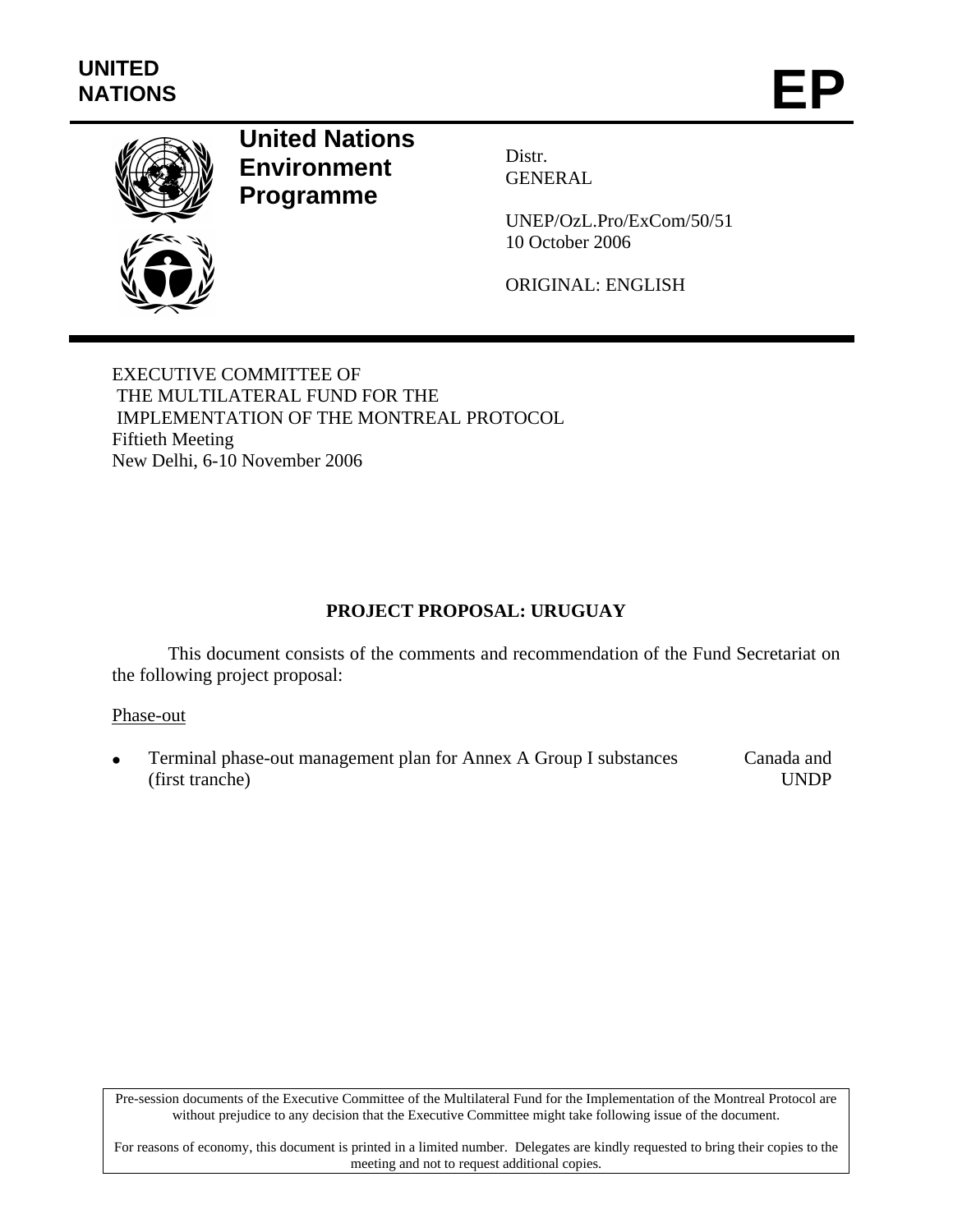

# **United Nations Environment Programme**

Distr. GENERAL

UNEP/OzL.Pro/ExCom/50/51 10 October 2006

ORIGINAL: ENGLISH

EXECUTIVE COMMITTEE OF THE MULTILATERAL FUND FOR THE IMPLEMENTATION OF THE MONTREAL PROTOCOL Fiftieth Meeting New Delhi, 6-10 November 2006

### **PROJECT PROPOSAL: URUGUAY**

This document consists of the comments and recommendation of the Fund Secretariat on the following project proposal:

#### Phase-out

• Terminal phase-out management plan for Annex A Group I substances (first tranche) Canada and UNDP

Pre-session documents of the Executive Committee of the Multilateral Fund for the Implementation of the Montreal Protocol are without prejudice to any decision that the Executive Committee might take following issue of the document.

For reasons of economy, this document is printed in a limited number. Delegates are kindly requested to bring their copies to the meeting and not to request additional copies.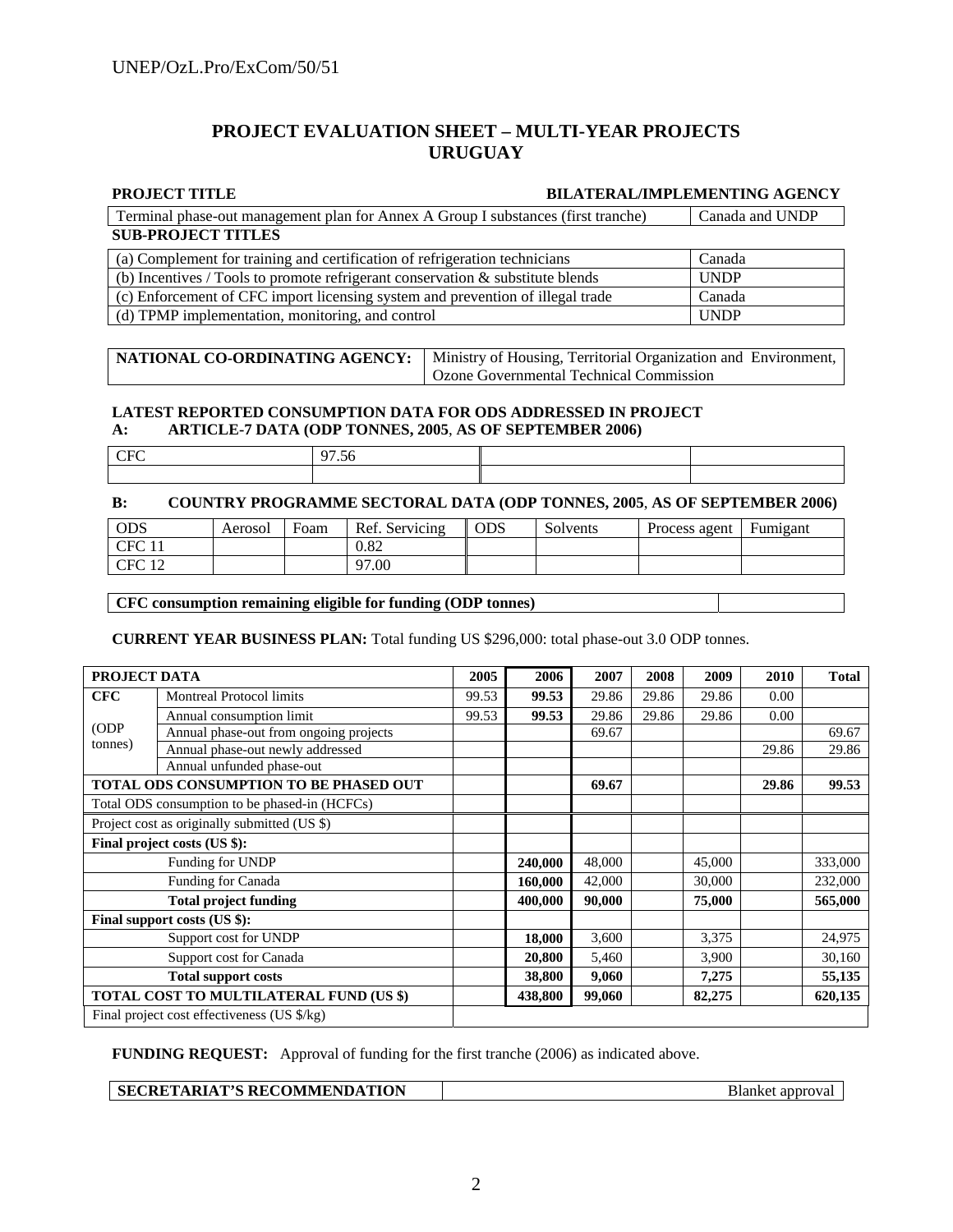#### **PROJECT EVALUATION SHEET – MULTI-YEAR PROJECTS URUGUAY**

#### **PROJECT TITLE BILATERAL/IMPLEMENTING AGENCY SUB-PROJECT TITLES** Terminal phase-out management plan for Annex A Group I substances (first tranche) Canada and UNDP (a) Complement for training and certification of refrigeration technicians Canada (b) Incentives / Tools to promote refrigerant conservation & substitute blends UNDP (c) Enforcement of CFC import licensing system and prevention of illegal trade Canada (d) TPMP implementation, monitoring, and control UNDP

**NATIONAL CO-ORDINATING AGENCY:** Ministry of Housing, Territorial Organization and Environment, Ozone Governmental Technical Commission

#### **LATEST REPORTED CONSUMPTION DATA FOR ODS ADDRESSED IN PROJECT A: ARTICLE-7 DATA (ODP TONNES, 2005**, **AS OF SEPTEMBER 2006)**

| ∼ |  |
|---|--|
|   |  |

#### **B: COUNTRY PROGRAMME SECTORAL DATA (ODP TONNES, 2005**, **AS OF SEPTEMBER 2006)**

| ODS          | Aerosol | Foam | Ref. Servicing | <b>ODS</b> | Solvents | Process agent | Fumigant |
|--------------|---------|------|----------------|------------|----------|---------------|----------|
| CEC          |         |      | 0.82           |            |          |               |          |
| CEC 12<br>◡▴ |         |      | 97.00          |            |          |               |          |

#### **CFC consumption remaining eligible for funding (ODP tonnes)**

**CURRENT YEAR BUSINESS PLAN:** Total funding US \$296,000: total phase-out 3.0 ODP tonnes.

| PROJECT DATA                                  |                                                       | 2005  | 2006    | 2007   | 2008  | 2009   | 2010  | <b>Total</b> |
|-----------------------------------------------|-------------------------------------------------------|-------|---------|--------|-------|--------|-------|--------------|
| CFC                                           | <b>Montreal Protocol limits</b>                       | 99.53 | 99.53   | 29.86  | 29.86 | 29.86  | 0.00  |              |
| Annual consumption limit                      |                                                       | 99.53 | 99.53   | 29.86  | 29.86 | 29.86  | 0.00  |              |
| (ODP)                                         | Annual phase-out from ongoing projects                |       |         | 69.67  |       |        |       | 69.67        |
| tonnes)                                       | Annual phase-out newly addressed                      |       |         |        |       |        | 29.86 | 29.86        |
|                                               | Annual unfunded phase-out                             |       |         |        |       |        |       |              |
|                                               | TOTAL ODS CONSUMPTION TO BE PHASED OUT                |       |         | 69.67  |       |        | 29.86 | 99.53        |
| Total ODS consumption to be phased-in (HCFCs) |                                                       |       |         |        |       |        |       |              |
| Project cost as originally submitted (US \$)  |                                                       |       |         |        |       |        |       |              |
|                                               | Final project costs (US \$):                          |       |         |        |       |        |       |              |
| Funding for UNDP                              |                                                       |       | 240,000 | 48,000 |       | 45,000 |       | 333,000      |
| Funding for Canada                            |                                                       |       | 160,000 | 42,000 |       | 30,000 |       | 232,000      |
| <b>Total project funding</b>                  |                                                       |       | 400.000 | 90,000 |       | 75,000 |       | 565,000      |
|                                               | Final support costs (US \$):                          |       |         |        |       |        |       |              |
|                                               | Support cost for UNDP                                 |       | 18,000  | 3,600  |       | 3,375  |       | 24,975       |
| Support cost for Canada                       |                                                       |       | 20,800  | 5,460  |       | 3,900  |       | 30,160       |
| <b>Total support costs</b>                    |                                                       |       | 38,800  | 9,060  |       | 7,275  |       | 55,135       |
| TOTAL COST TO MULTILATERAL FUND (US \$)       |                                                       |       | 438,800 | 99,060 |       | 82,275 |       | 620,135      |
|                                               | Final project cost effectiveness (US $\frac{s}{kg}$ ) |       |         |        |       |        |       |              |

**FUNDING REQUEST:** Approval of funding for the first tranche (2006) as indicated above.

**Blanket approval**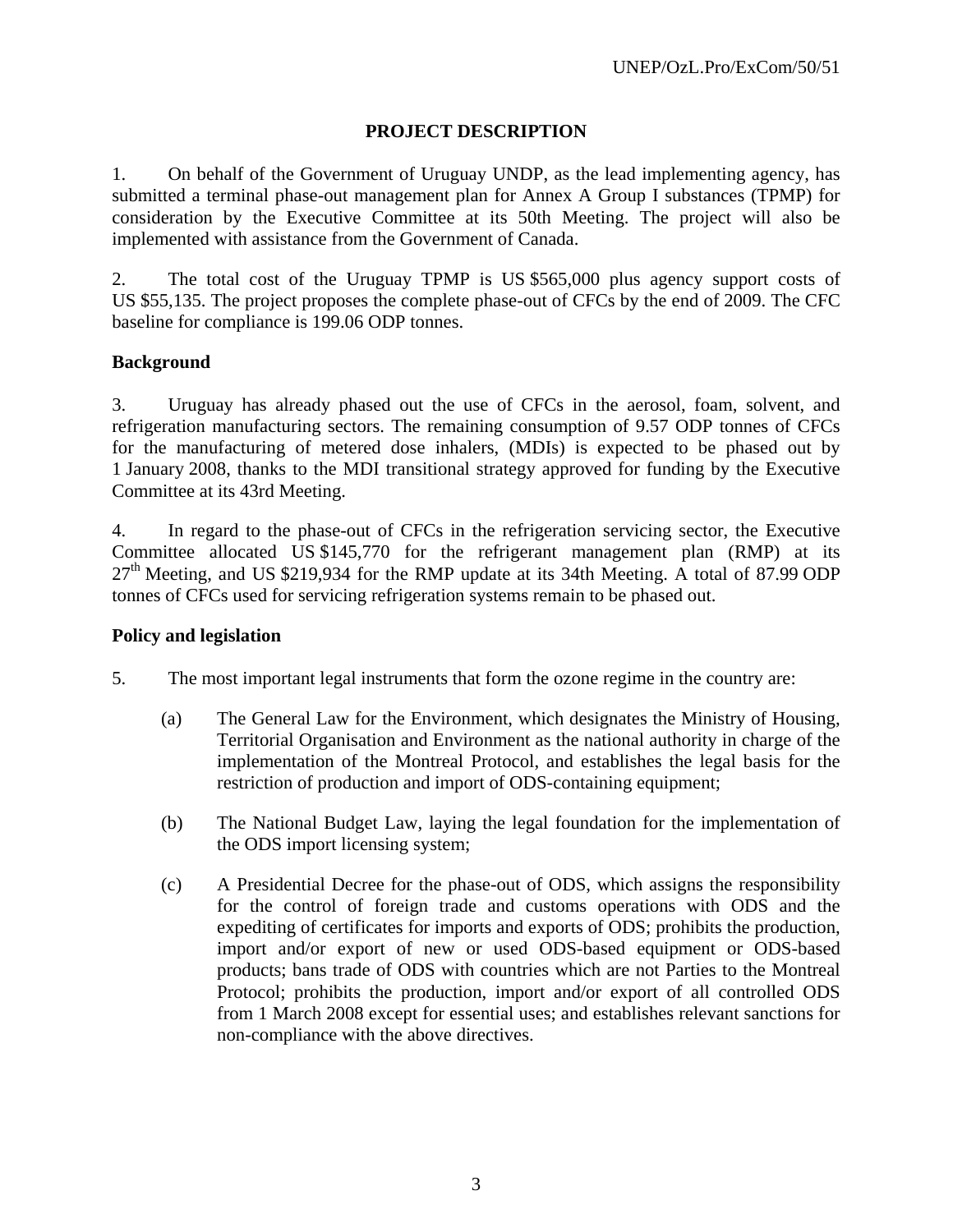#### **PROJECT DESCRIPTION**

1. On behalf of the Government of Uruguay UNDP, as the lead implementing agency, has submitted a terminal phase-out management plan for Annex A Group I substances (TPMP) for consideration by the Executive Committee at its 50th Meeting. The project will also be implemented with assistance from the Government of Canada.

2. The total cost of the Uruguay TPMP is US \$565,000 plus agency support costs of US \$55,135. The project proposes the complete phase-out of CFCs by the end of 2009. The CFC baseline for compliance is 199.06 ODP tonnes.

#### **Background**

3. Uruguay has already phased out the use of CFCs in the aerosol, foam, solvent, and refrigeration manufacturing sectors. The remaining consumption of 9.57 ODP tonnes of CFCs for the manufacturing of metered dose inhalers, (MDIs) is expected to be phased out by 1 January 2008, thanks to the MDI transitional strategy approved for funding by the Executive Committee at its 43rd Meeting.

4. In regard to the phase-out of CFCs in the refrigeration servicing sector, the Executive Committee allocated US \$145,770 for the refrigerant management plan (RMP) at its  $27<sup>th</sup>$  Meeting, and US \$219,934 for the RMP update at its 34th Meeting. A total of 87.99 ODP tonnes of CFCs used for servicing refrigeration systems remain to be phased out.

#### **Policy and legislation**

- 5. The most important legal instruments that form the ozone regime in the country are:
	- (a) The General Law for the Environment, which designates the Ministry of Housing, Territorial Organisation and Environment as the national authority in charge of the implementation of the Montreal Protocol, and establishes the legal basis for the restriction of production and import of ODS-containing equipment;
	- (b) The National Budget Law, laying the legal foundation for the implementation of the ODS import licensing system;
	- (c) A Presidential Decree for the phase-out of ODS, which assigns the responsibility for the control of foreign trade and customs operations with ODS and the expediting of certificates for imports and exports of ODS; prohibits the production, import and/or export of new or used ODS-based equipment or ODS-based products; bans trade of ODS with countries which are not Parties to the Montreal Protocol; prohibits the production, import and/or export of all controlled ODS from 1 March 2008 except for essential uses; and establishes relevant sanctions for non-compliance with the above directives.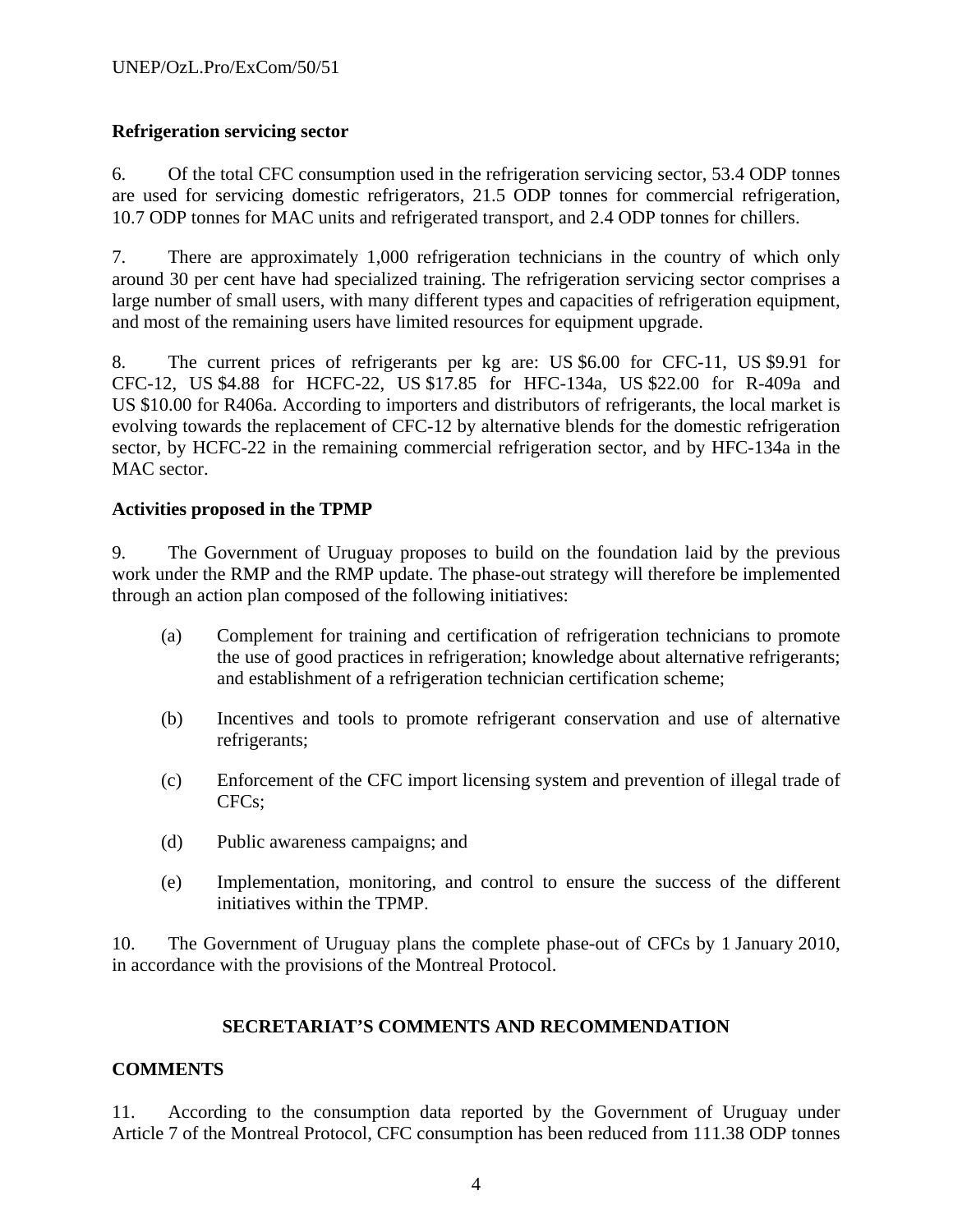#### **Refrigeration servicing sector**

6. Of the total CFC consumption used in the refrigeration servicing sector, 53.4 ODP tonnes are used for servicing domestic refrigerators, 21.5 ODP tonnes for commercial refrigeration, 10.7 ODP tonnes for MAC units and refrigerated transport, and 2.4 ODP tonnes for chillers.

7. There are approximately 1,000 refrigeration technicians in the country of which only around 30 per cent have had specialized training. The refrigeration servicing sector comprises a large number of small users, with many different types and capacities of refrigeration equipment, and most of the remaining users have limited resources for equipment upgrade.

8. The current prices of refrigerants per kg are: US \$6.00 for CFC-11, US \$9.91 for CFC-12, US \$4.88 for HCFC-22, US \$17.85 for HFC-134a, US \$22.00 for R-409a and US \$10.00 for R406a. According to importers and distributors of refrigerants, the local market is evolving towards the replacement of CFC-12 by alternative blends for the domestic refrigeration sector, by HCFC-22 in the remaining commercial refrigeration sector, and by HFC-134a in the MAC sector.

#### **Activities proposed in the TPMP**

9. The Government of Uruguay proposes to build on the foundation laid by the previous work under the RMP and the RMP update. The phase-out strategy will therefore be implemented through an action plan composed of the following initiatives:

- (a) Complement for training and certification of refrigeration technicians to promote the use of good practices in refrigeration; knowledge about alternative refrigerants; and establishment of a refrigeration technician certification scheme;
- (b) Incentives and tools to promote refrigerant conservation and use of alternative refrigerants;
- (c) Enforcement of the CFC import licensing system and prevention of illegal trade of CFCs;
- (d) Public awareness campaigns; and
- (e) Implementation, monitoring, and control to ensure the success of the different initiatives within the TPMP.

10. The Government of Uruguay plans the complete phase-out of CFCs by 1 January 2010, in accordance with the provisions of the Montreal Protocol.

#### **SECRETARIAT'S COMMENTS AND RECOMMENDATION**

#### **COMMENTS**

11. According to the consumption data reported by the Government of Uruguay under Article 7 of the Montreal Protocol, CFC consumption has been reduced from 111.38 ODP tonnes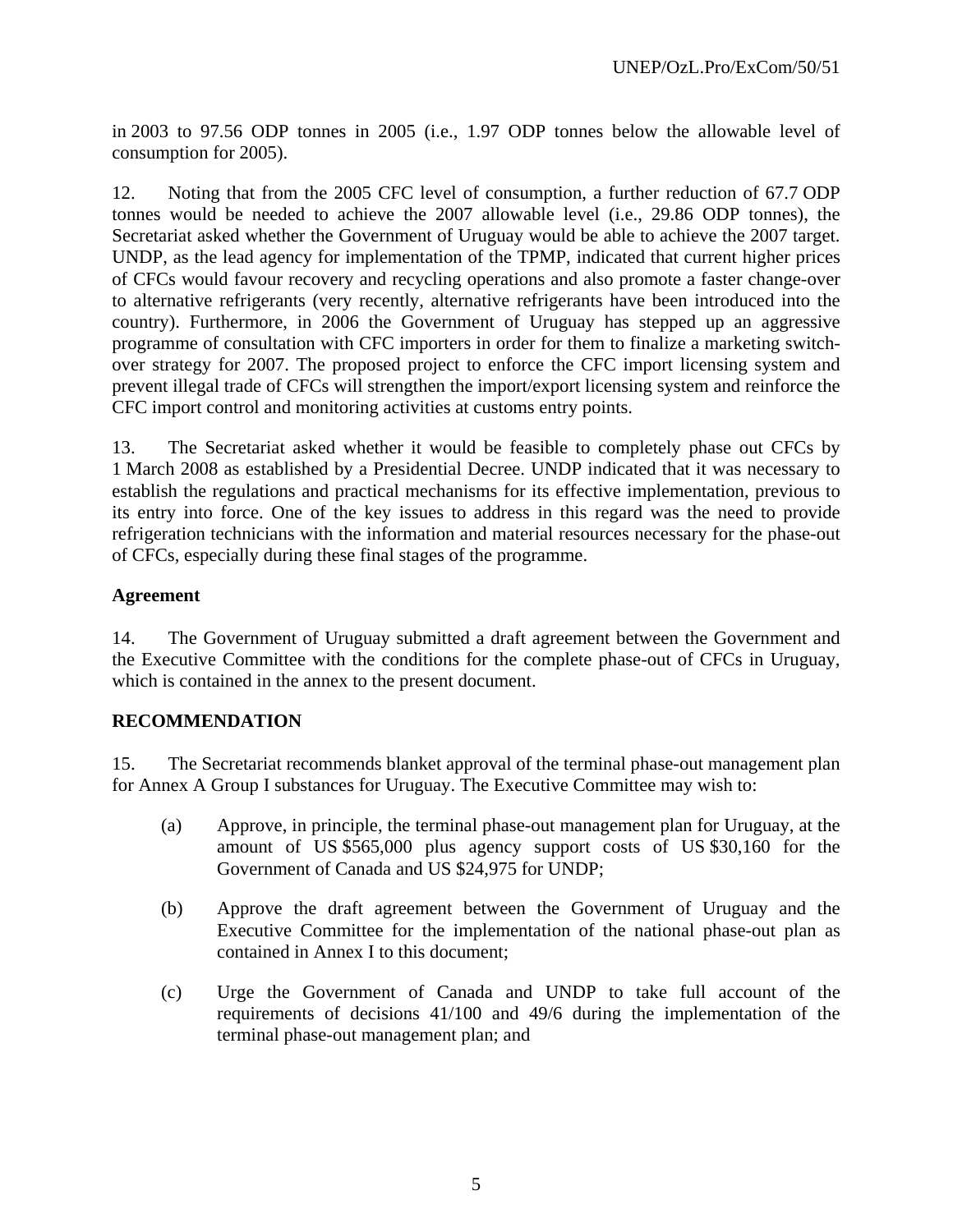in 2003 to 97.56 ODP tonnes in 2005 (i.e., 1.97 ODP tonnes below the allowable level of consumption for 2005).

12. Noting that from the 2005 CFC level of consumption, a further reduction of 67.7 ODP tonnes would be needed to achieve the 2007 allowable level (i.e., 29.86 ODP tonnes), the Secretariat asked whether the Government of Uruguay would be able to achieve the 2007 target. UNDP, as the lead agency for implementation of the TPMP, indicated that current higher prices of CFCs would favour recovery and recycling operations and also promote a faster change-over to alternative refrigerants (very recently, alternative refrigerants have been introduced into the country). Furthermore, in 2006 the Government of Uruguay has stepped up an aggressive programme of consultation with CFC importers in order for them to finalize a marketing switchover strategy for 2007. The proposed project to enforce the CFC import licensing system and prevent illegal trade of CFCs will strengthen the import/export licensing system and reinforce the CFC import control and monitoring activities at customs entry points.

13. The Secretariat asked whether it would be feasible to completely phase out CFCs by 1 March 2008 as established by a Presidential Decree. UNDP indicated that it was necessary to establish the regulations and practical mechanisms for its effective implementation, previous to its entry into force. One of the key issues to address in this regard was the need to provide refrigeration technicians with the information and material resources necessary for the phase-out of CFCs, especially during these final stages of the programme.

#### **Agreement**

14. The Government of Uruguay submitted a draft agreement between the Government and the Executive Committee with the conditions for the complete phase-out of CFCs in Uruguay, which is contained in the annex to the present document.

#### **RECOMMENDATION**

15. The Secretariat recommends blanket approval of the terminal phase-out management plan for Annex A Group I substances for Uruguay. The Executive Committee may wish to:

- (a) Approve, in principle, the terminal phase-out management plan for Uruguay, at the amount of US \$565,000 plus agency support costs of US \$30,160 for the Government of Canada and US \$24,975 for UNDP;
- (b) Approve the draft agreement between the Government of Uruguay and the Executive Committee for the implementation of the national phase-out plan as contained in Annex I to this document;
- (c) Urge the Government of Canada and UNDP to take full account of the requirements of decisions 41/100 and 49/6 during the implementation of the terminal phase-out management plan; and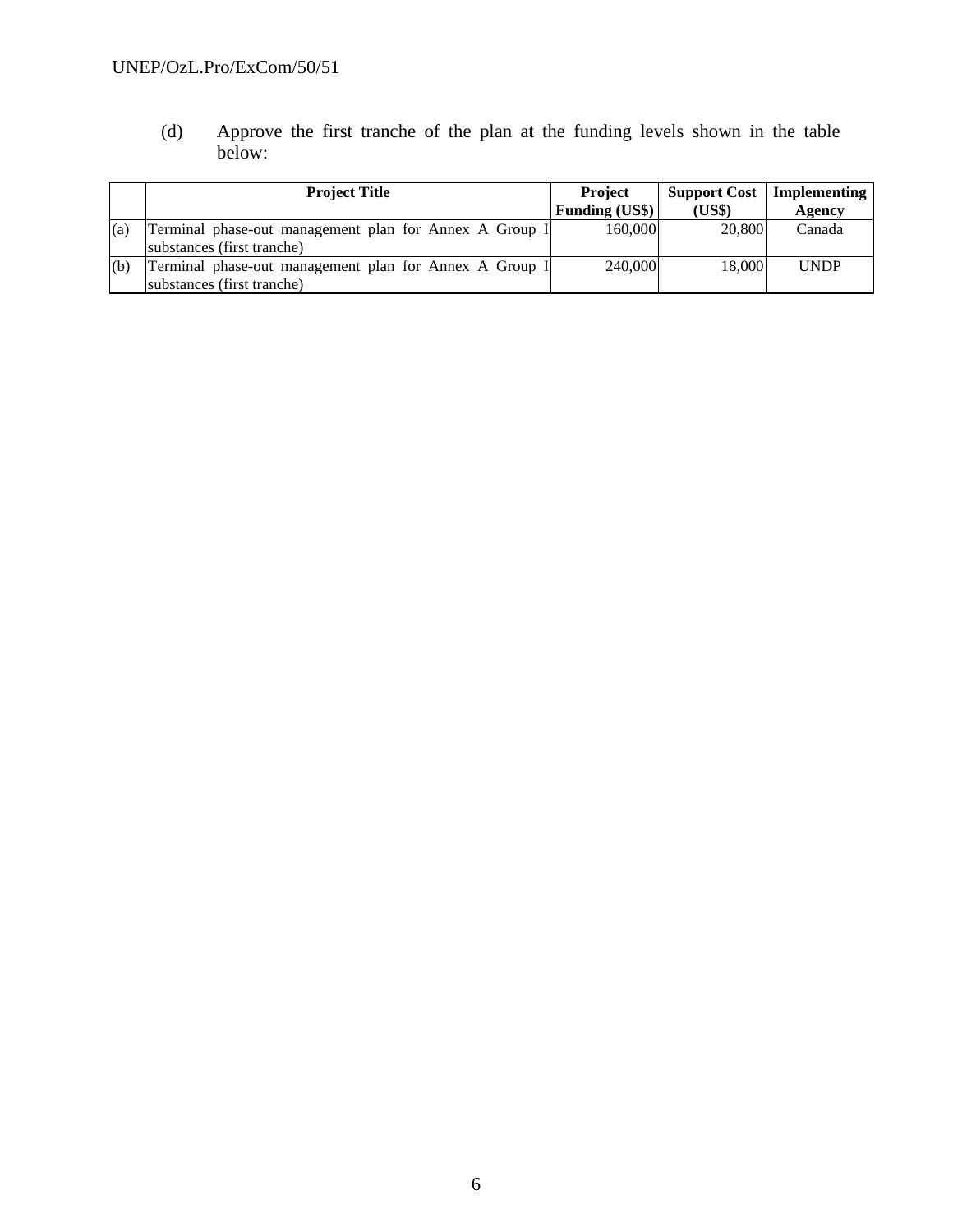## UNEP/OzL.Pro/ExCom/50/51

(d) Approve the first tranche of the plan at the funding levels shown in the table below:

|     | <b>Project Title</b>                                                                 | <b>Project</b><br><b>Funding (US\$)</b> | <b>Support Cost</b><br>(US\$) | Implementing  <br>Agency |
|-----|--------------------------------------------------------------------------------------|-----------------------------------------|-------------------------------|--------------------------|
| (a) | Terminal phase-out management plan for Annex A Group I<br>substances (first tranche) | 160,000                                 | 20,800                        | Canada                   |
| (b) | Terminal phase-out management plan for Annex A Group I<br>substances (first tranche) | 240,000                                 | 18,000                        | <b>UNDP</b>              |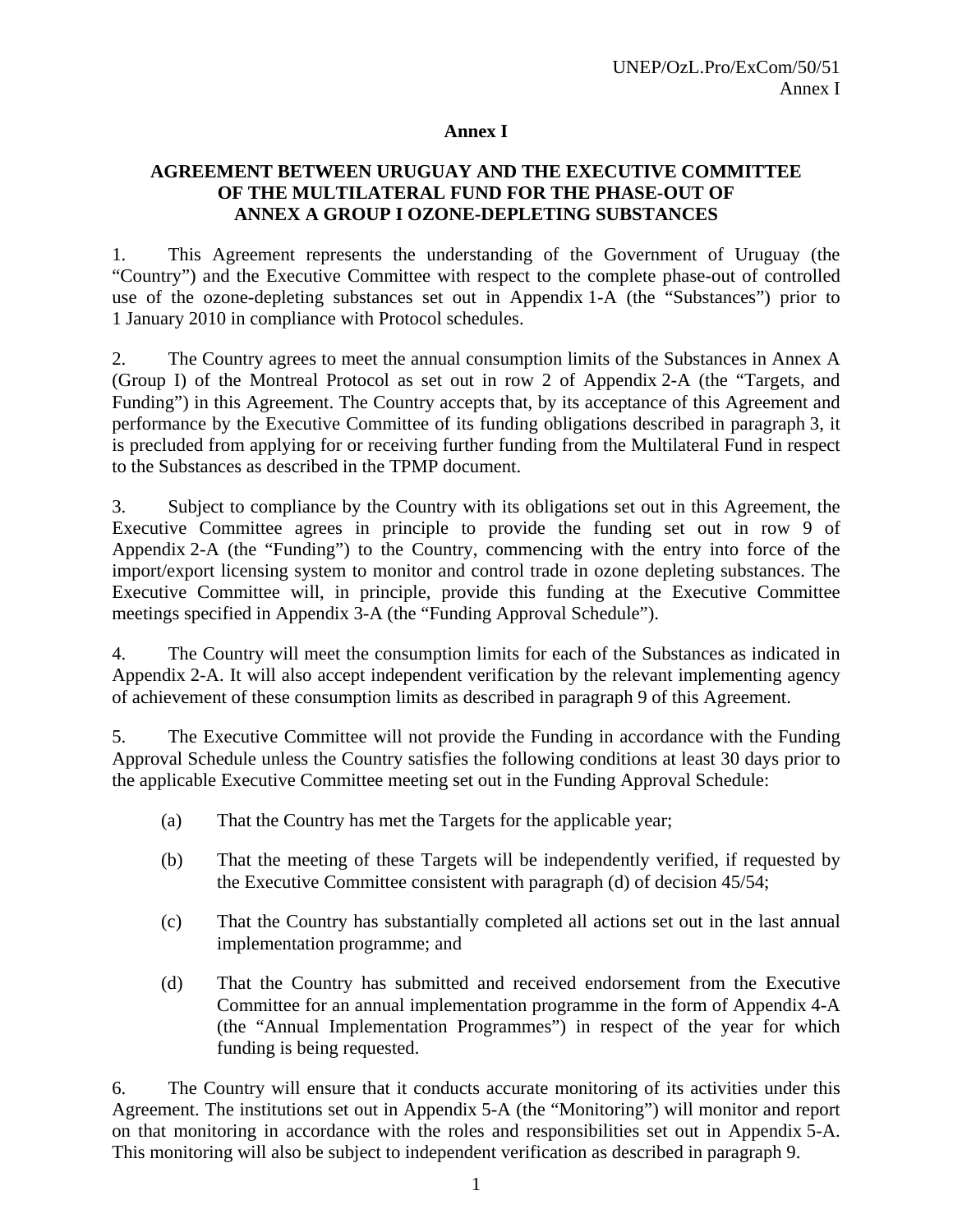#### **Annex I**

#### **AGREEMENT BETWEEN URUGUAY AND THE EXECUTIVE COMMITTEE OF THE MULTILATERAL FUND FOR THE PHASE-OUT OF ANNEX A GROUP I OZONE-DEPLETING SUBSTANCES**

1. This Agreement represents the understanding of the Government of Uruguay (the "Country") and the Executive Committee with respect to the complete phase-out of controlled use of the ozone-depleting substances set out in Appendix 1-A (the "Substances") prior to 1 January 2010 in compliance with Protocol schedules.

2. The Country agrees to meet the annual consumption limits of the Substances in Annex A (Group I) of the Montreal Protocol as set out in row 2 of Appendix 2-A (the "Targets, and Funding") in this Agreement. The Country accepts that, by its acceptance of this Agreement and performance by the Executive Committee of its funding obligations described in paragraph 3, it is precluded from applying for or receiving further funding from the Multilateral Fund in respect to the Substances as described in the TPMP document.

3. Subject to compliance by the Country with its obligations set out in this Agreement, the Executive Committee agrees in principle to provide the funding set out in row 9 of Appendix 2-A (the "Funding") to the Country, commencing with the entry into force of the import/export licensing system to monitor and control trade in ozone depleting substances. The Executive Committee will, in principle, provide this funding at the Executive Committee meetings specified in Appendix 3-A (the "Funding Approval Schedule").

4. The Country will meet the consumption limits for each of the Substances as indicated in Appendix 2-A. It will also accept independent verification by the relevant implementing agency of achievement of these consumption limits as described in paragraph 9 of this Agreement.

5. The Executive Committee will not provide the Funding in accordance with the Funding Approval Schedule unless the Country satisfies the following conditions at least 30 days prior to the applicable Executive Committee meeting set out in the Funding Approval Schedule:

- (a) That the Country has met the Targets for the applicable year;
- (b) That the meeting of these Targets will be independently verified, if requested by the Executive Committee consistent with paragraph (d) of decision 45/54;
- (c) That the Country has substantially completed all actions set out in the last annual implementation programme; and
- (d) That the Country has submitted and received endorsement from the Executive Committee for an annual implementation programme in the form of Appendix 4-A (the "Annual Implementation Programmes") in respect of the year for which funding is being requested.

6. The Country will ensure that it conducts accurate monitoring of its activities under this Agreement. The institutions set out in Appendix 5-A (the "Monitoring") will monitor and report on that monitoring in accordance with the roles and responsibilities set out in Appendix 5-A. This monitoring will also be subject to independent verification as described in paragraph 9.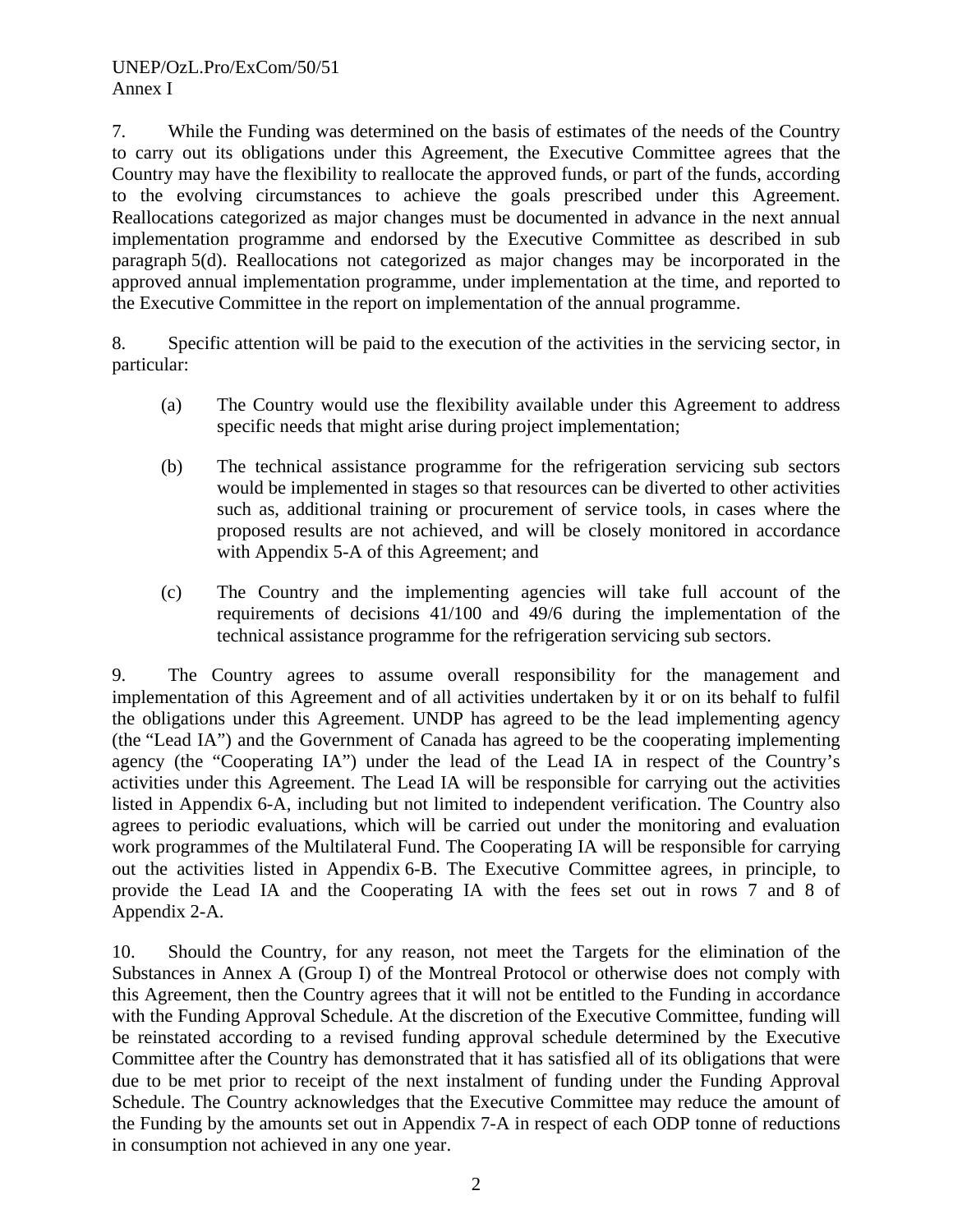7. While the Funding was determined on the basis of estimates of the needs of the Country to carry out its obligations under this Agreement, the Executive Committee agrees that the Country may have the flexibility to reallocate the approved funds, or part of the funds, according to the evolving circumstances to achieve the goals prescribed under this Agreement. Reallocations categorized as major changes must be documented in advance in the next annual implementation programme and endorsed by the Executive Committee as described in sub paragraph 5(d). Reallocations not categorized as major changes may be incorporated in the approved annual implementation programme, under implementation at the time, and reported to the Executive Committee in the report on implementation of the annual programme.

8. Specific attention will be paid to the execution of the activities in the servicing sector, in particular:

- (a) The Country would use the flexibility available under this Agreement to address specific needs that might arise during project implementation;
- (b) The technical assistance programme for the refrigeration servicing sub sectors would be implemented in stages so that resources can be diverted to other activities such as, additional training or procurement of service tools, in cases where the proposed results are not achieved, and will be closely monitored in accordance with Appendix 5-A of this Agreement; and
- (c) The Country and the implementing agencies will take full account of the requirements of decisions 41/100 and 49/6 during the implementation of the technical assistance programme for the refrigeration servicing sub sectors.

9. The Country agrees to assume overall responsibility for the management and implementation of this Agreement and of all activities undertaken by it or on its behalf to fulfil the obligations under this Agreement. UNDP has agreed to be the lead implementing agency (the "Lead IA") and the Government of Canada has agreed to be the cooperating implementing agency (the "Cooperating IA") under the lead of the Lead IA in respect of the Country's activities under this Agreement. The Lead IA will be responsible for carrying out the activities listed in Appendix 6-A, including but not limited to independent verification. The Country also agrees to periodic evaluations, which will be carried out under the monitoring and evaluation work programmes of the Multilateral Fund. The Cooperating IA will be responsible for carrying out the activities listed in Appendix 6-B. The Executive Committee agrees, in principle, to provide the Lead IA and the Cooperating IA with the fees set out in rows 7 and 8 of Appendix 2-A.

10. Should the Country, for any reason, not meet the Targets for the elimination of the Substances in Annex A (Group I) of the Montreal Protocol or otherwise does not comply with this Agreement, then the Country agrees that it will not be entitled to the Funding in accordance with the Funding Approval Schedule. At the discretion of the Executive Committee, funding will be reinstated according to a revised funding approval schedule determined by the Executive Committee after the Country has demonstrated that it has satisfied all of its obligations that were due to be met prior to receipt of the next instalment of funding under the Funding Approval Schedule. The Country acknowledges that the Executive Committee may reduce the amount of the Funding by the amounts set out in Appendix 7-A in respect of each ODP tonne of reductions in consumption not achieved in any one year.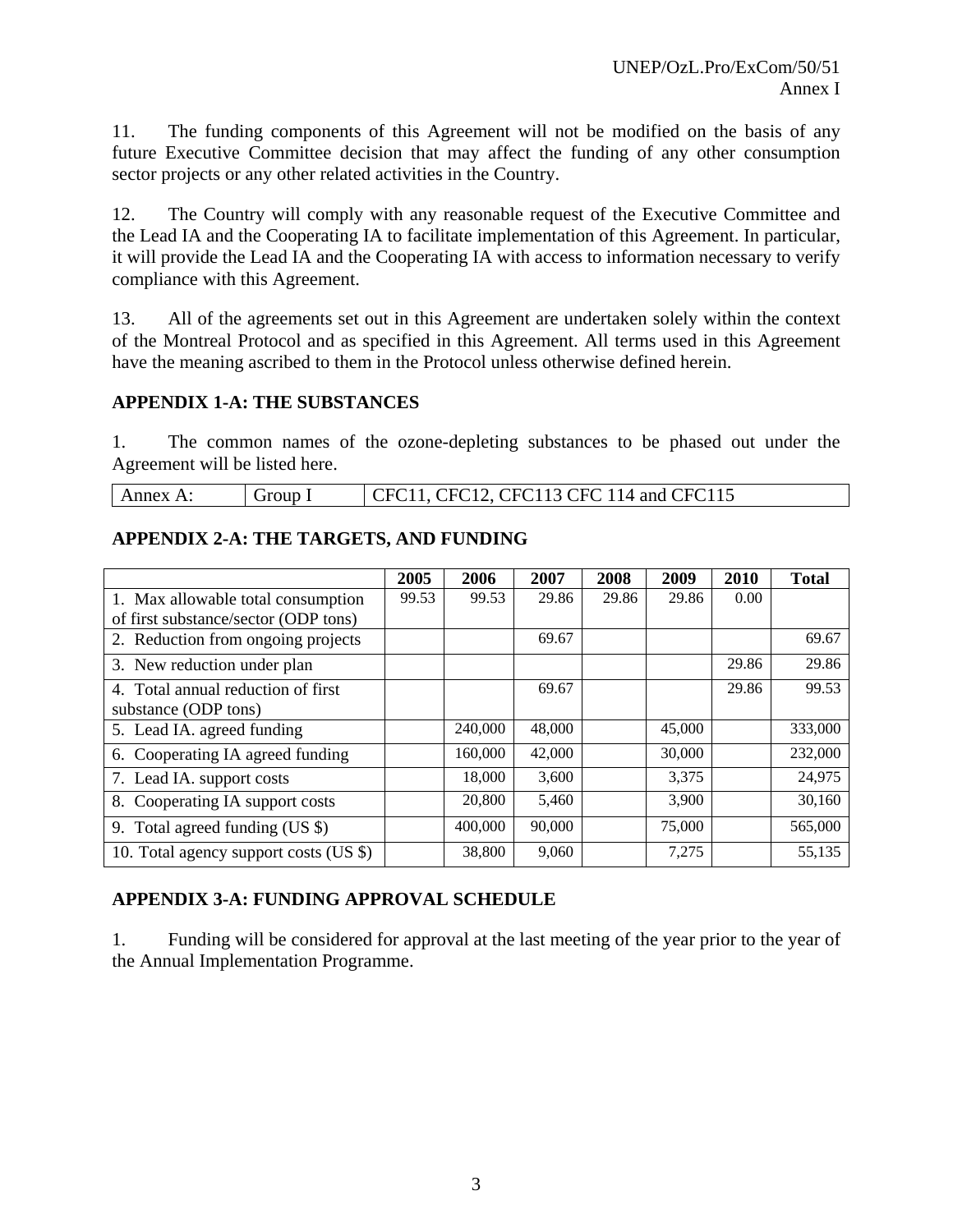11. The funding components of this Agreement will not be modified on the basis of any future Executive Committee decision that may affect the funding of any other consumption sector projects or any other related activities in the Country.

12. The Country will comply with any reasonable request of the Executive Committee and the Lead IA and the Cooperating IA to facilitate implementation of this Agreement. In particular, it will provide the Lead IA and the Cooperating IA with access to information necessary to verify compliance with this Agreement.

13. All of the agreements set out in this Agreement are undertaken solely within the context of the Montreal Protocol and as specified in this Agreement. All terms used in this Agreement have the meaning ascribed to them in the Protocol unless otherwise defined herein.

#### **APPENDIX 1-A: THE SUBSTANCES**

1. The common names of the ozone-depleting substances to be phased out under the Agreement will be listed here.

| CFC11, CFC12, CFC113 CFC 114 and CFC115<br>Annex A:<br>Group I |  |
|----------------------------------------------------------------|--|
|----------------------------------------------------------------|--|

#### **APPENDIX 2-A: THE TARGETS, AND FUNDING**

|                                                            | 2005  | 2006    | 2007   | 2008  | 2009   | 2010  | <b>Total</b> |
|------------------------------------------------------------|-------|---------|--------|-------|--------|-------|--------------|
| 1. Max allowable total consumption                         | 99.53 | 99.53   | 29.86  | 29.86 | 29.86  | 0.00  |              |
| of first substance/sector (ODP tons)                       |       |         |        |       |        |       |              |
| 2. Reduction from ongoing projects                         |       |         | 69.67  |       |        |       | 69.67        |
| 3. New reduction under plan                                |       |         |        |       |        | 29.86 | 29.86        |
| 4. Total annual reduction of first<br>substance (ODP tons) |       |         | 69.67  |       |        | 29.86 | 99.53        |
|                                                            |       | 240,000 | 48,000 |       | 45,000 |       | 333,000      |
| 5. Lead IA. agreed funding                                 |       |         |        |       |        |       |              |
| 6. Cooperating IA agreed funding                           |       | 160,000 | 42,000 |       | 30,000 |       | 232,000      |
| 7. Lead IA. support costs                                  |       | 18,000  | 3,600  |       | 3,375  |       | 24,975       |
| 8. Cooperating IA support costs                            |       | 20,800  | 5,460  |       | 3,900  |       | 30,160       |
| 9. Total agreed funding (US \$)                            |       | 400,000 | 90,000 |       | 75,000 |       | 565,000      |
| 10. Total agency support costs (US \$)                     |       | 38,800  | 9,060  |       | 7,275  |       | 55,135       |

#### **APPENDIX 3-A: FUNDING APPROVAL SCHEDULE**

1. Funding will be considered for approval at the last meeting of the year prior to the year of the Annual Implementation Programme.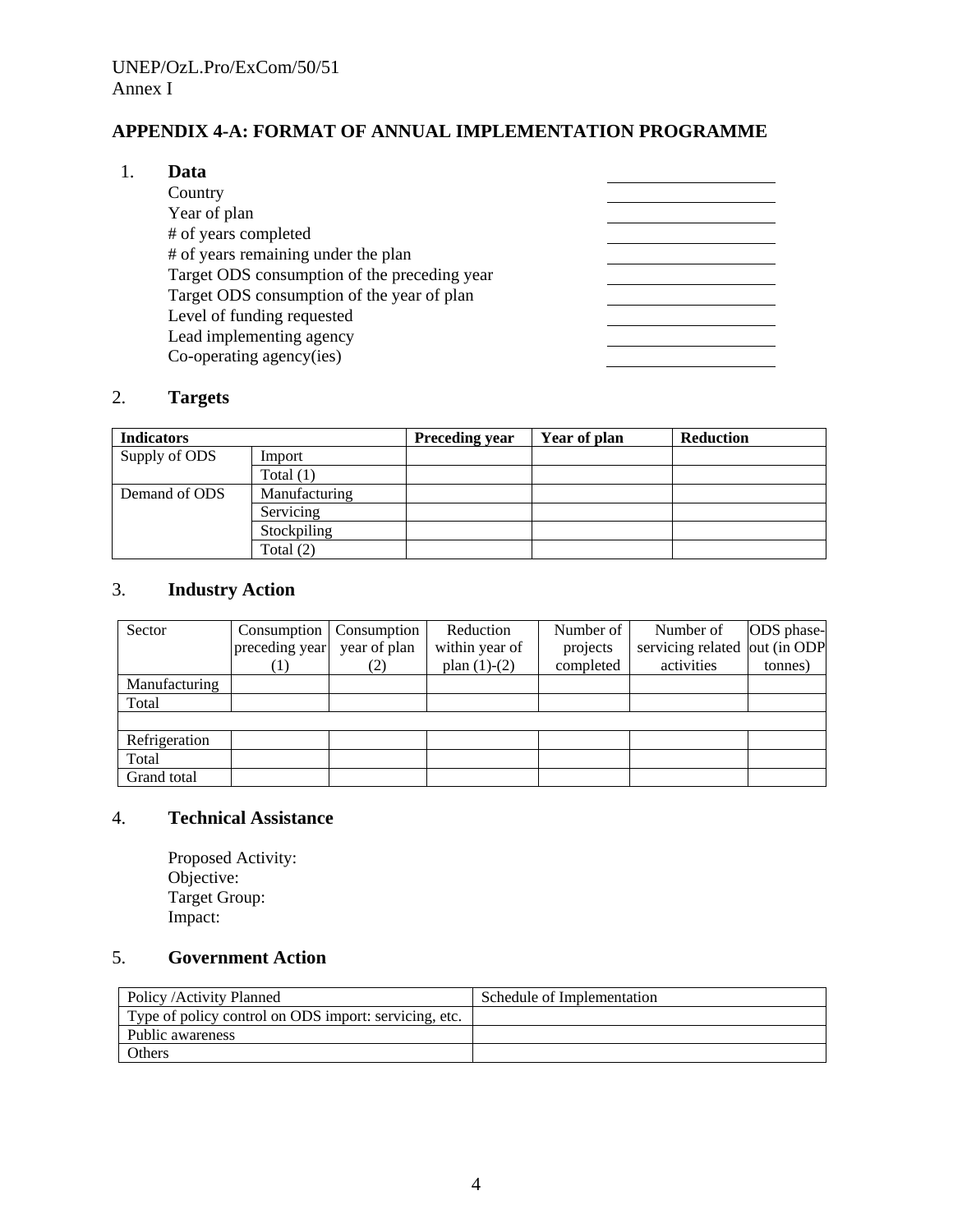### **APPENDIX 4-A: FORMAT OF ANNUAL IMPLEMENTATION PROGRAMME**

#### 1. **Data**

| Country                                      |  |
|----------------------------------------------|--|
| Year of plan                                 |  |
| # of years completed                         |  |
| # of years remaining under the plan          |  |
| Target ODS consumption of the preceding year |  |
| Target ODS consumption of the year of plan   |  |
| Level of funding requested                   |  |
| Lead implementing agency                     |  |
| Co-operating agency(ies)                     |  |

### 2. **Targets**

| <b>Indicators</b> |               | <b>Preceding year</b> | Year of plan | <b>Reduction</b> |
|-------------------|---------------|-----------------------|--------------|------------------|
| Supply of ODS     | Import        |                       |              |                  |
|                   | Total $(1)$   |                       |              |                  |
| Demand of ODS     | Manufacturing |                       |              |                  |
|                   | Servicing     |                       |              |                  |
|                   | Stockpiling   |                       |              |                  |
|                   | Total $(2)$   |                       |              |                  |

#### 3. **Industry Action**

| Sector        | Consumption    | Consumption  | Reduction      | Number of | Number of                     | ODS phase- |
|---------------|----------------|--------------|----------------|-----------|-------------------------------|------------|
|               | preceding year | year of plan | within year of | projects  | servicing related out (in ODP |            |
|               | 1)             |              | plan $(1)-(2)$ | completed | activities                    | tonnes)    |
| Manufacturing |                |              |                |           |                               |            |
| Total         |                |              |                |           |                               |            |
|               |                |              |                |           |                               |            |
| Refrigeration |                |              |                |           |                               |            |
| Total         |                |              |                |           |                               |            |
| Grand total   |                |              |                |           |                               |            |

### 4. **Technical Assistance**

Proposed Activity: Objective: Target Group: Impact:

### 5. **Government Action**

| Policy / Activity Planned                             | Schedule of Implementation |
|-------------------------------------------------------|----------------------------|
| Type of policy control on ODS import: servicing, etc. |                            |
| Public awareness                                      |                            |
| Others                                                |                            |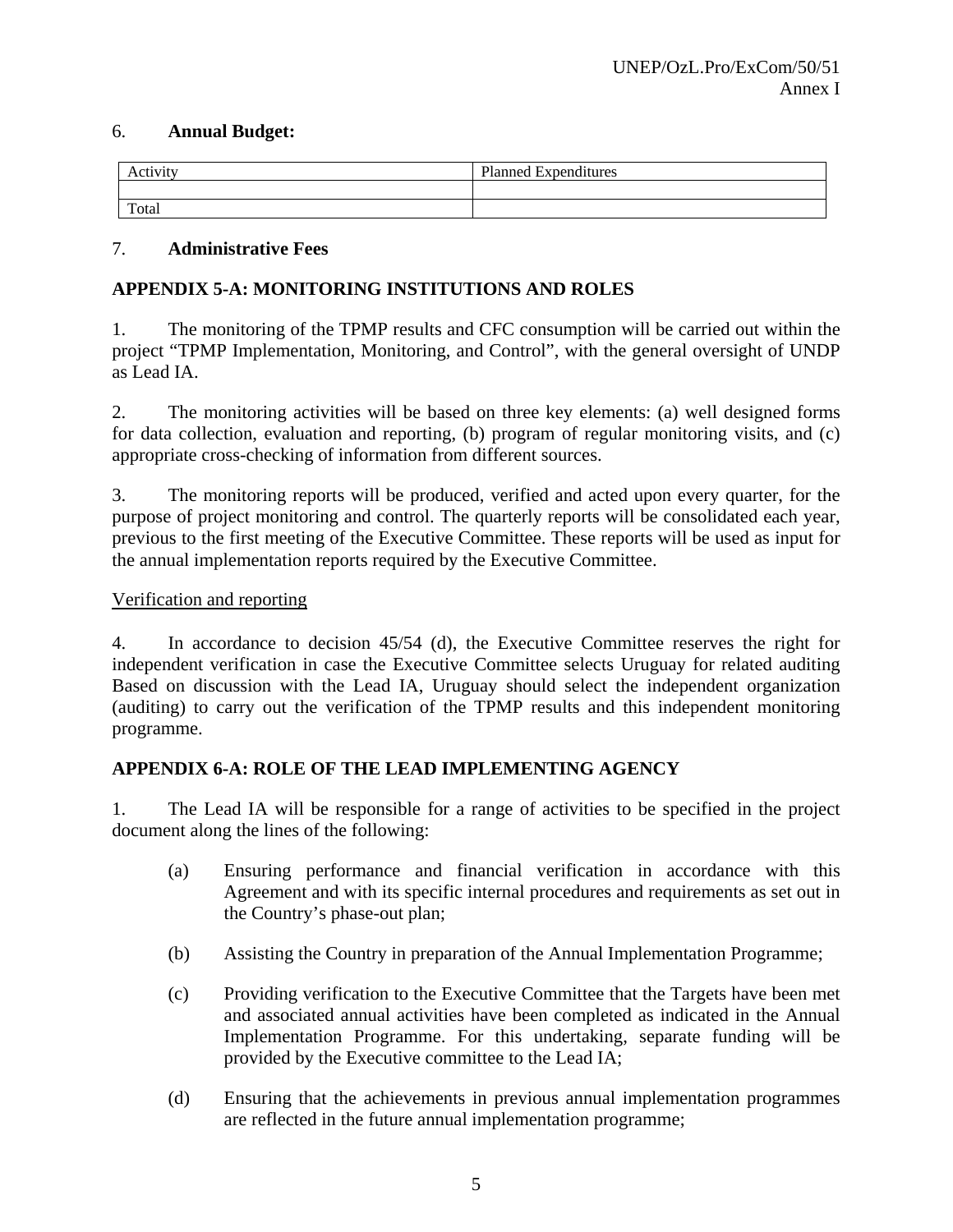#### 6. **Annual Budget:**

| $2 + 1 + 1 + 1 + 1$<br>AC | Planned.<br>$\cdot$<br>$\sqrt{ }$<br>Expenditures |
|---------------------------|---------------------------------------------------|
|                           |                                                   |
| Total                     |                                                   |

#### 7. **Administrative Fees**

### **APPENDIX 5-A: MONITORING INSTITUTIONS AND ROLES**

1. The monitoring of the TPMP results and CFC consumption will be carried out within the project "TPMP Implementation, Monitoring, and Control", with the general oversight of UNDP as Lead IA.

2. The monitoring activities will be based on three key elements: (a) well designed forms for data collection, evaluation and reporting, (b) program of regular monitoring visits, and (c) appropriate cross-checking of information from different sources.

3. The monitoring reports will be produced, verified and acted upon every quarter, for the purpose of project monitoring and control. The quarterly reports will be consolidated each year, previous to the first meeting of the Executive Committee. These reports will be used as input for the annual implementation reports required by the Executive Committee.

#### Verification and reporting

4. In accordance to decision 45/54 (d), the Executive Committee reserves the right for independent verification in case the Executive Committee selects Uruguay for related auditing Based on discussion with the Lead IA, Uruguay should select the independent organization (auditing) to carry out the verification of the TPMP results and this independent monitoring programme.

#### **APPENDIX 6-A: ROLE OF THE LEAD IMPLEMENTING AGENCY**

1. The Lead IA will be responsible for a range of activities to be specified in the project document along the lines of the following:

- (a) Ensuring performance and financial verification in accordance with this Agreement and with its specific internal procedures and requirements as set out in the Country's phase-out plan;
- (b) Assisting the Country in preparation of the Annual Implementation Programme;
- (c) Providing verification to the Executive Committee that the Targets have been met and associated annual activities have been completed as indicated in the Annual Implementation Programme. For this undertaking, separate funding will be provided by the Executive committee to the Lead IA;
- (d) Ensuring that the achievements in previous annual implementation programmes are reflected in the future annual implementation programme;